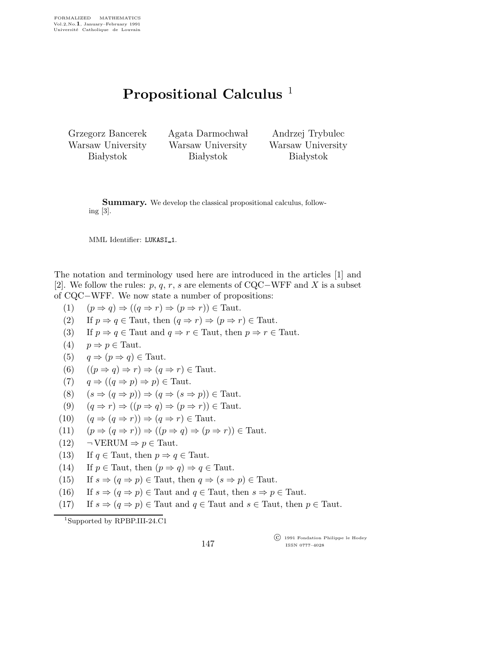## Propositional Calculus<sup>1</sup>

Grzegorz Bancerek Warsaw University **Białystok** 

Agata Darmochwał Warsaw University **Białystok** 

Andrzej Trybulec Warsaw University **Białystok** 

Summary. We develop the classical propositional calculus, following [3].

MML Identifier: LUKASI\_1.

The notation and terminology used here are introduced in the articles [1] and [2]. We follow the rules: p, q, r, s are elements of CQC−WFF and X is a subset of CQC−WFF. We now state a number of propositions:

- (1)  $(p \Rightarrow q) \Rightarrow ((q \Rightarrow r) \Rightarrow (p \Rightarrow r)) \in \text{Taut.}$
- (2) If  $p \Rightarrow q \in \text{Taut}, \text{ then } (q \Rightarrow r) \Rightarrow (p \Rightarrow r) \in \text{Taut}.$
- (3) If  $p \Rightarrow q \in$  Taut and  $q \Rightarrow r \in$  Taut, then  $p \Rightarrow r \in$  Taut.
- (4)  $p \Rightarrow p \in \text{Taut.}$
- (5)  $q \Rightarrow (p \Rightarrow q) \in \text{Taut.}$

(6) 
$$
((p \Rightarrow q) \Rightarrow r) \Rightarrow (q \Rightarrow r) \in \text{Taut.}
$$

(7)  $q \Rightarrow ((q \Rightarrow p) \Rightarrow p) \in \text{Taut.}$ 

$$
(8) \quad (s \Rightarrow (q \Rightarrow p)) \Rightarrow (q \Rightarrow (s \Rightarrow p)) \in \text{Taut.}
$$

$$
(9) \quad (q \Rightarrow r) \Rightarrow ((p \Rightarrow q) \Rightarrow (p \Rightarrow r)) \in \text{Taut.}
$$

- (10)  $(q \Rightarrow (q \Rightarrow r)) \Rightarrow (q \Rightarrow r) \in \text{Taut.}$
- (11)  $(p \Rightarrow (q \Rightarrow r)) \Rightarrow ((p \Rightarrow q) \Rightarrow (p \Rightarrow r)) \in \text{Taut.}$
- (12)  $\neg$  VERUM  $\Rightarrow$  p  $\in$  Taut.
- (13) If  $q \in$  Taut, then  $p \Rightarrow q \in$  Taut.
- (14) If  $p \in$  Taut, then  $(p \Rightarrow q) \Rightarrow q \in$  Taut.
- (15) If  $s \Rightarrow (q \Rightarrow p) \in \text{Taut}, \text{ then } q \Rightarrow (s \Rightarrow p) \in \text{Taut}.$
- (16) If  $s \Rightarrow (q \Rightarrow p) \in$  Taut and  $q \in$  Taut, then  $s \Rightarrow p \in$  Taut.
- (17) If  $s \Rightarrow (q \Rightarrow p) \in$  Taut and  $q \in$  Taut and  $s \in$  Taut, then  $p \in$  Taut.

<sup>1</sup>Supported by RPBP.III-24.C1

 c 1991 Fondation Philippe le Hodey ISSN 0777–4028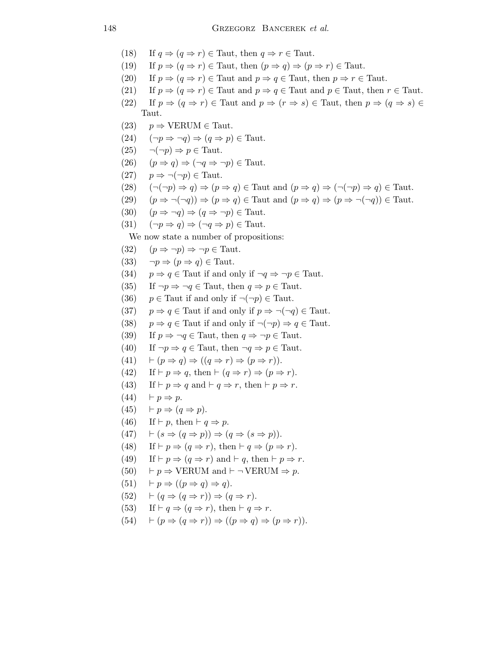(18) If  $q \Rightarrow (q \Rightarrow r) \in \text{Taut}, \text{ then } q \Rightarrow r \in \text{Taut}.$ (19) If  $p \Rightarrow (q \Rightarrow r) \in \text{Taut}, \text{ then } (p \Rightarrow q) \Rightarrow (p \Rightarrow r) \in \text{Taut}.$ (20) If  $p \Rightarrow (q \Rightarrow r) \in \text{Taut}$  and  $p \Rightarrow q \in \text{Taut}$ , then  $p \Rightarrow r \in \text{Taut}$ . (21) If  $p \Rightarrow (q \Rightarrow r) \in$  Taut and  $p \Rightarrow q \in$  Taut and  $p \in$  Taut, then  $r \in$  Taut. (22) If  $p \Rightarrow (q \Rightarrow r) \in$  Taut and  $p \Rightarrow (r \Rightarrow s) \in$  Taut, then  $p \Rightarrow (q \Rightarrow s) \in$ Taut. (23)  $p \Rightarrow$  VERUM  $\in$  Taut.  $(24) \quad (\neg p \Rightarrow \neg q) \Rightarrow (q \Rightarrow p) \in \text{Taut.}$  $(25) \quad \neg(\neg p) \Rightarrow p \in \text{Taut.}$  $(26)$   $(p \Rightarrow q) \Rightarrow (\neg q \Rightarrow \neg p) \in \text{Taut.}$ (27)  $p \Rightarrow \neg(\neg p) \in \text{Taut.}$ (28)  $(\neg(\neg p) \Rightarrow q) \Rightarrow (p \Rightarrow q) \in \text{Taut} \text{ and } (p \Rightarrow q) \Rightarrow (\neg(\neg p) \Rightarrow q) \in \text{Taut}.$ (29)  $(p \Rightarrow \neg(\neg q)) \Rightarrow (p \Rightarrow q) \in \text{Taut} \text{ and } (p \Rightarrow q) \Rightarrow (p \Rightarrow \neg(\neg q)) \in \text{Taut}.$ (30)  $(p \Rightarrow \neg q) \Rightarrow (q \Rightarrow \neg p) \in \text{Taut.}$ (31)  $(\neg p \Rightarrow q) \Rightarrow (\neg q \Rightarrow p) \in \text{Taut.}$ We now state a number of propositions: (32)  $(p \Rightarrow \neg p) \Rightarrow \neg p \in \text{Taut.}$ (33)  $\neg p \Rightarrow (p \Rightarrow q) \in \text{Taut.}$ (34)  $p \Rightarrow q \in$  Taut if and only if  $\neg q \Rightarrow \neg p \in$  Taut. (35) If  $\neg p \Rightarrow \neg q \in \text{Taut}, \text{ then } q \Rightarrow p \in \text{Taut}.$ (36)  $p \in$  Taut if and only if  $\neg(\neg p) \in$  Taut. (37)  $p \Rightarrow q \in$  Taut if and only if  $p \Rightarrow \neg(\neg q) \in$  Taut. (38)  $p \Rightarrow q \in$  Taut if and only if  $\neg(\neg p) \Rightarrow q \in$  Taut. (39) If  $p \Rightarrow \neg q \in \text{Taut}$ , then  $q \Rightarrow \neg p \in \text{Taut}$ . (40) If  $\neg p \Rightarrow q \in \text{Taut}, \text{ then } \neg q \Rightarrow p \in \text{Taut}.$ (41)  $\vdash (p \Rightarrow q) \Rightarrow ((q \Rightarrow r) \Rightarrow (p \Rightarrow r)).$ (42) If  $\vdash p \Rightarrow q$ , then  $\vdash (q \Rightarrow r) \Rightarrow (p \Rightarrow r)$ . (43) If  $\vdash p \Rightarrow q$  and  $\vdash q \Rightarrow r$ , then  $\vdash p \Rightarrow r$ . (44)  $\vdash p \Rightarrow p$ . (45)  $\vdash p \Rightarrow (q \Rightarrow p)$ . (46) If  $\vdash p$ , then  $\vdash q \Rightarrow p$ . (47)  $\vdash (s \Rightarrow (q \Rightarrow p)) \Rightarrow (q \Rightarrow (s \Rightarrow p)).$ (48) If  $\vdash p \Rightarrow (q \Rightarrow r)$ , then  $\vdash q \Rightarrow (p \Rightarrow r)$ . (49) If  $\vdash p \Rightarrow (q \Rightarrow r)$  and  $\vdash q$ , then  $\vdash p \Rightarrow r$ . (50)  $\vdash p \Rightarrow \text{VERUM} \text{ and } \vdash \neg \text{VERUM} \Rightarrow p.$ (51)  $\vdash p \Rightarrow ((p \Rightarrow q) \Rightarrow q)$ .  $(52)$   $\vdash (q \Rightarrow (q \Rightarrow r)) \Rightarrow (q \Rightarrow r).$ (53) If  $\vdash q \Rightarrow (q \Rightarrow r)$ , then  $\vdash q \Rightarrow r$ . (54)  $\vdash (p \Rightarrow (q \Rightarrow r)) \Rightarrow ((p \Rightarrow q) \Rightarrow (p \Rightarrow r)).$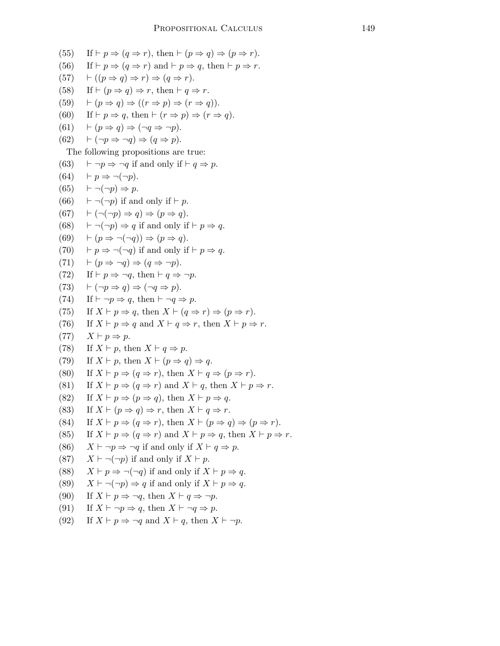(55) If  $\vdash p \Rightarrow (q \Rightarrow r)$ , then  $\vdash (p \Rightarrow q) \Rightarrow (p \Rightarrow r)$ . (56) If  $\vdash p \Rightarrow (q \Rightarrow r)$  and  $\vdash p \Rightarrow q$ , then  $\vdash p \Rightarrow r$ . (57)  $\vdash ((p \Rightarrow q) \Rightarrow r) \Rightarrow (q \Rightarrow r)$ . (58) If  $\vdash$   $(p \Rightarrow q) \Rightarrow r$ , then  $\vdash$   $q \Rightarrow r$ . (59)  $\vdash (p \Rightarrow q) \Rightarrow ((r \Rightarrow p) \Rightarrow (r \Rightarrow q)).$ (60) If  $\vdash p \Rightarrow q$ , then  $\vdash (r \Rightarrow p) \Rightarrow (r \Rightarrow q)$ . (61)  $\vdash (p \Rightarrow q) \Rightarrow (\neg q \Rightarrow \neg p).$  $(62)$   $\vdash (\neg p \Rightarrow \neg q) \Rightarrow (q \Rightarrow p).$ The following propositions are true: (63)  $\vdash \neg p \Rightarrow \neg q$  if and only if  $\vdash q \Rightarrow p$ .  $(64)$  ⊢  $p \Rightarrow \neg(\neg p)$ . (65)  $\vdash \neg(\neg p) \Rightarrow p$ . (66)  $\vdash \neg(\neg p)$  if and only if  $\vdash p$ . (67)  $\vdash (\neg(\neg p) \Rightarrow q) \Rightarrow (p \Rightarrow q)$ . (68)  $\vdash \neg(\neg p) \Rightarrow q$  if and only if  $\vdash p \Rightarrow q$ . (69)  $\vdash (p \Rightarrow \neg(\neg q)) \Rightarrow (p \Rightarrow q)$ . (70)  $\vdash p \Rightarrow \neg(\neg q)$  if and only if  $\vdash p \Rightarrow q$ .  $(71)$   $\vdash (p \Rightarrow \neg q) \Rightarrow (q \Rightarrow \neg p).$ (72) If  $\vdash p \Rightarrow \neg q$ , then  $\vdash q \Rightarrow \neg p$ . (73)  $\vdash (\neg p \Rightarrow q) \Rightarrow (\neg q \Rightarrow p).$ (74) If  $\vdash \neg p \Rightarrow q$ , then  $\vdash \neg q \Rightarrow p$ . (75) If  $X \vdash p \Rightarrow q$ , then  $X \vdash (q \Rightarrow r) \Rightarrow (p \Rightarrow r)$ . (76) If  $X \vdash p \Rightarrow q$  and  $X \vdash q \Rightarrow r$ , then  $X \vdash p \Rightarrow r$ .  $(77)$   $X \vdash p \Rightarrow p.$ (78) If  $X \vdash p$ , then  $X \vdash q \Rightarrow p$ . (79) If  $X \vdash p$ , then  $X \vdash (p \Rightarrow q) \Rightarrow q$ . (80) If  $X \vdash p \Rightarrow (q \Rightarrow r)$ , then  $X \vdash q \Rightarrow (p \Rightarrow r)$ . (81) If  $X \vdash p \Rightarrow (q \Rightarrow r)$  and  $X \vdash q$ , then  $X \vdash p \Rightarrow r$ . (82) If  $X \vdash p \Rightarrow (p \Rightarrow q)$ , then  $X \vdash p \Rightarrow q$ . (83) If  $X \vdash (p \Rightarrow q) \Rightarrow r$ , then  $X \vdash q \Rightarrow r$ . (84) If  $X \vdash p \Rightarrow (q \Rightarrow r)$ , then  $X \vdash (p \Rightarrow q) \Rightarrow (p \Rightarrow r)$ . (85) If  $X \vdash p \Rightarrow (q \Rightarrow r)$  and  $X \vdash p \Rightarrow q$ , then  $X \vdash p \Rightarrow r$ . (86)  $X \vdash \neg p \Rightarrow \neg q$  if and only if  $X \vdash q \Rightarrow p$ . (87)  $X \vdash \neg(\neg p)$  if and only if  $X \vdash p$ . (88)  $X \vdash p \Rightarrow \neg(\neg q)$  if and only if  $X \vdash p \Rightarrow q$ . (89)  $X \vdash \neg(\neg p) \Rightarrow q$  if and only if  $X \vdash p \Rightarrow q$ . (90) If  $X \vdash p \Rightarrow \neg q$ , then  $X \vdash q \Rightarrow \neg p$ . (91) If  $X \vdash \neg p \Rightarrow q$ , then  $X \vdash \neg q \Rightarrow p$ . (92) If  $X \vdash p \Rightarrow \neg q$  and  $X \vdash q$ , then  $X \vdash \neg p$ .